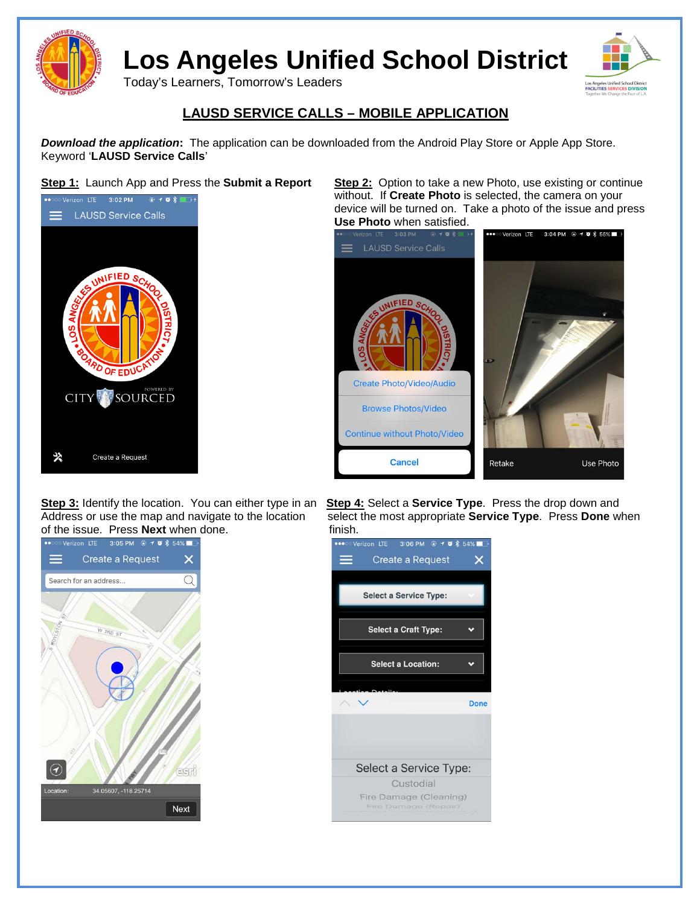

**Los Angeles Unified School District**

Today's Learners, Tomorrow's Leaders



## **LAUSD SERVICE CALLS – MOBILE APPLICATION**

*Download the application***:** The application can be downloaded from the Android Play Store or Apple App Store. Keyword '**LAUSD Service Calls**'



of the issue. Press **Next** when done. finish.



**Step 1:** Launch App and Press the **Submit a Report Step 2:** Option to take a new Photo, use existing or continue without. If **Create Photo** is selected, the camera on your device will be turned on. Take a photo of the issue and press



**Step 3:** Identify the location. You can either type in an **Step 4:** Select a **Service Type**. Press the drop down and select the most appropriate **Service Type**. Press **Done** when finish.